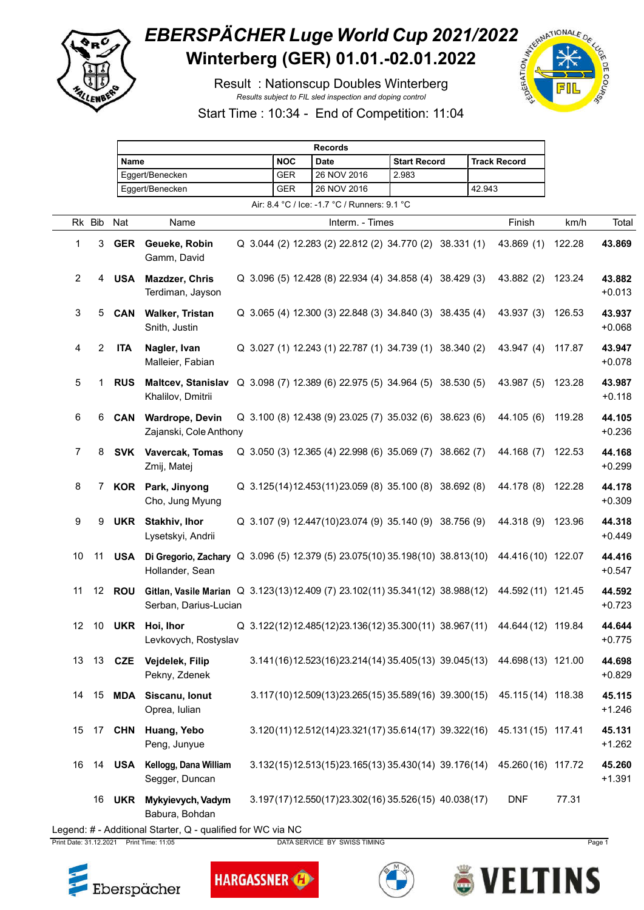

## **EBERSPÄCHER Luge World Cup 2021/2022**<br>Winterberg (GER) 01.01.-02.01.2022 **Winterberg (GER) 01.01.-02.01.2022**

Result : Nationscup Doubles Winterberg *Results subject to FIL sled inspection and doping control*



Start Time : 10:34 - End of Competition: 11:04

|                                              |                                                             |            | <b>Records</b>                                                                                                          |  |  |            |  |             |                 |                     |                                                         |                     |        |                                                                        |        |                    |
|----------------------------------------------|-------------------------------------------------------------|------------|-------------------------------------------------------------------------------------------------------------------------|--|--|------------|--|-------------|-----------------|---------------------|---------------------------------------------------------|---------------------|--------|------------------------------------------------------------------------|--------|--------------------|
|                                              |                                                             |            | Name                                                                                                                    |  |  | <b>NOC</b> |  | <b>Date</b> |                 | <b>Start Record</b> |                                                         | <b>Track Record</b> |        |                                                                        |        |                    |
|                                              |                                                             |            | Eggert/Benecken                                                                                                         |  |  | <b>GER</b> |  | 26 NOV 2016 |                 |                     | 2.983                                                   |                     |        |                                                                        |        |                    |
|                                              |                                                             |            | Eggert/Benecken                                                                                                         |  |  | <b>GER</b> |  | 26 NOV 2016 |                 |                     |                                                         |                     | 42.943 |                                                                        |        |                    |
| Air: 8.4 °C / Ice: -1.7 °C / Runners: 9.1 °C |                                                             |            |                                                                                                                         |  |  |            |  |             |                 |                     |                                                         |                     |        |                                                                        |        |                    |
|                                              | Rk Bib                                                      | Nat        | Name                                                                                                                    |  |  |            |  |             | Interm. - Times |                     |                                                         |                     |        | Finish                                                                 | km/h   | Total              |
| 1                                            | 3                                                           | <b>GER</b> | Geueke, Robin<br>Gamm, David                                                                                            |  |  |            |  |             |                 |                     | Q 3.044 (2) 12.283 (2) 22.812 (2) 34.770 (2) 38.331 (1) |                     |        | 43.869 (1)                                                             | 122.28 | 43.869             |
| $\overline{2}$                               |                                                             | 4 USA      | <b>Mazdzer, Chris</b><br>Terdiman, Jayson                                                                               |  |  |            |  |             |                 |                     | Q 3.096 (5) 12.428 (8) 22.934 (4) 34.858 (4) 38.429 (3) |                     |        | 43.882 (2)                                                             | 123.24 | 43.882<br>$+0.013$ |
| $\mathbf{3}$                                 | 5                                                           | <b>CAN</b> | Walker, Tristan<br>Snith, Justin                                                                                        |  |  |            |  |             |                 |                     | Q 3.065 (4) 12.300 (3) 22.848 (3) 34.840 (3) 38.435 (4) |                     |        | 43.937 (3)                                                             | 126.53 | 43.937<br>$+0.068$ |
| 4                                            | 2                                                           | <b>ITA</b> | Nagler, Ivan<br>Malleier, Fabian                                                                                        |  |  |            |  |             |                 |                     | Q 3.027 (1) 12.243 (1) 22.787 (1) 34.739 (1) 38.340 (2) |                     |        | 43.947 (4)                                                             | 117.87 | 43.947<br>$+0.078$ |
| 5                                            | 1                                                           | <b>RUS</b> | <b>Maltcev, Stanislav</b><br>Khalilov, Dmitrii                                                                          |  |  |            |  |             |                 |                     | Q 3.098 (7) 12.389 (6) 22.975 (5) 34.964 (5) 38.530 (5) |                     |        | 43.987 (5)                                                             | 123.28 | 43.987<br>$+0.118$ |
| $\,6\,$                                      | 6                                                           | <b>CAN</b> | <b>Wardrope, Devin</b><br>Zajanski, Cole Anthony                                                                        |  |  |            |  |             |                 |                     | Q 3.100 (8) 12.438 (9) 23.025 (7) 35.032 (6) 38.623 (6) |                     |        | 44.105 (6)                                                             | 119.28 | 44.105<br>$+0.236$ |
| 7                                            | 8                                                           |            | SVK Vavercak, Tomas<br>Zmij, Matej                                                                                      |  |  |            |  |             |                 |                     | Q 3.050 (3) 12.365 (4) 22.998 (6) 35.069 (7) 38.662 (7) |                     |        | 44.168 (7)                                                             | 122.53 | 44.168<br>$+0.299$ |
| 8                                            |                                                             | 7 KOR      | Park, Jinyong<br>Cho, Jung Myung                                                                                        |  |  |            |  |             |                 |                     | Q 3.125(14)12.453(11)23.059 (8) 35.100 (8) 38.692 (8)   |                     |        | 44.178 (8)                                                             | 122.28 | 44.178<br>$+0.309$ |
| $\boldsymbol{9}$                             | 9                                                           | <b>UKR</b> | Stakhiv, Ihor<br>Lysetskyi, Andrii                                                                                      |  |  |            |  |             |                 |                     | Q 3.107 (9) 12.447(10)23.074 (9) 35.140 (9) 38.756 (9)  |                     |        | 44.318 (9)                                                             | 123.96 | 44.318<br>$+0.449$ |
| 10                                           |                                                             |            | 11 USA Di Gregorio, Zachary Q 3.096 (5) 12.379 (5) 23.075 (10) 35.198 (10) 38.813 (10)<br>Hollander, Sean               |  |  |            |  |             |                 |                     |                                                         |                     |        | 44.416 (10) 122.07                                                     |        | 44.416<br>$+0.547$ |
| 11                                           | 12 <sup>°</sup>                                             | <b>ROU</b> | Gitlan, Vasile Marian Q 3.123(13)12.409 (7) 23.102(11) 35.341(12) 38.988(12) 44.592(11) 121.45<br>Serban, Darius-Lucian |  |  |            |  |             |                 |                     |                                                         |                     |        |                                                                        |        | 44.592<br>$+0.723$ |
| 12                                           |                                                             |            | 10 UKR Hoi, Ihor<br>Levkovych, Rostyslav                                                                                |  |  |            |  |             |                 |                     |                                                         |                     |        | Q 3.122(12)12.485(12)23.136(12)35.300(11) 38.967(11) 44.644(12) 119.84 |        | 44.644<br>$+0.775$ |
| 13                                           |                                                             |            | 13 CZE Vejdelek, Filip<br>Pekny, Zdenek                                                                                 |  |  |            |  |             |                 |                     |                                                         |                     |        | 3.141(16)12.523(16)23.214(14) 35.405(13) 39.045(13) 44.698(13) 121.00  |        | 44.698<br>$+0.829$ |
| 14                                           |                                                             |            | 15 MDA Siscanu, Ionut<br>Oprea, Iulian                                                                                  |  |  |            |  |             |                 |                     |                                                         |                     |        | 3.117(10)12.509(13)23.265(15)35.589(16) 39.300(15) 45.115(14) 118.38   |        | 45.115<br>$+1.246$ |
| 15                                           | 17                                                          | <b>CHN</b> | Huang, Yebo<br>Peng, Junyue                                                                                             |  |  |            |  |             |                 |                     |                                                         |                     |        | 3.120(11)12.512(14)23.321(17)35.614(17)39.322(16) 45.131(15) 117.41    |        | 45.131<br>$+1.262$ |
| 16                                           |                                                             |            | 14 USA Kellogg, Dana William<br>Segger, Duncan                                                                          |  |  |            |  |             |                 |                     | $3.132(15)12.513(15)23.165(13)35.430(14)39.176(14)$     |                     |        | 45.260 (16) 117.72                                                     |        | 45.260<br>$+1.391$ |
|                                              | 16                                                          |            | UKR Mykyievych, Vadym<br>Babura, Bohdan                                                                                 |  |  |            |  |             |                 |                     | 3.197(17)12.550(17)23.302(16)35.526(15)40.038(17)       |                     |        | <b>DNF</b>                                                             | 77.31  |                    |
|                                              | Legend: # - Additional Starter, Q - qualified for WC via NC |            |                                                                                                                         |  |  |            |  |             |                 |                     |                                                         |                     |        |                                                                        |        |                    |

Print Date: 31.12.2021 Print Time: 11:05 DATA SERVICE BY SWISS TIMING Page 1